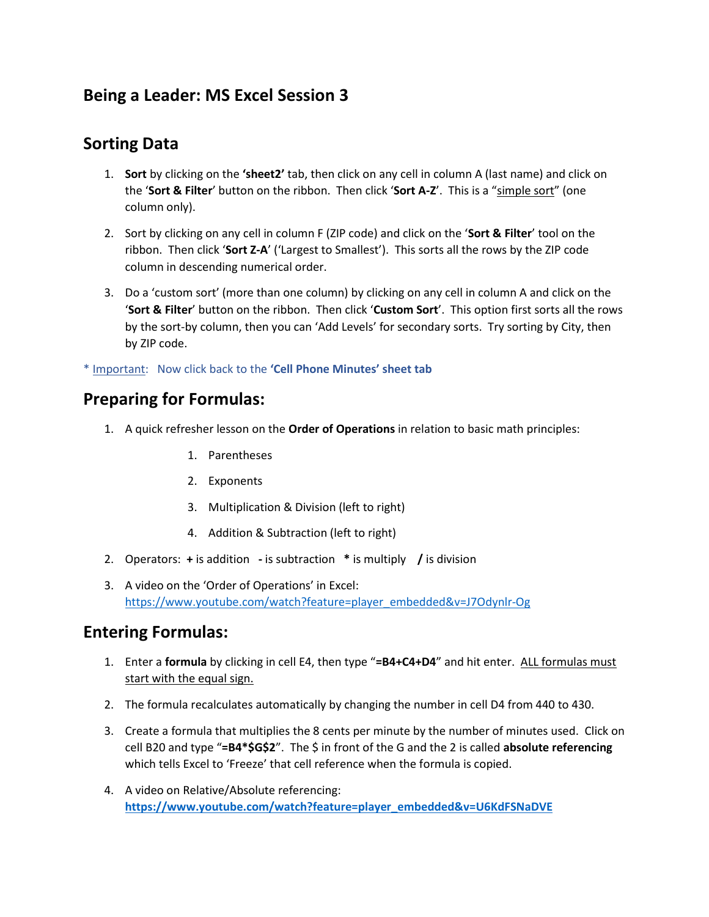# **Being a Leader: MS Excel Session 3**

## **Sorting Data**

- 1. **Sort** by clicking on the **'sheet2'** tab, then click on any cell in column A (last name) and click on the '**Sort & Filter**' button on the ribbon. Then click '**Sort A-Z**'. This is a "simple sort" (one column only).
- 2. Sort by clicking on any cell in column F (ZIP code) and click on the '**Sort & Filter**' tool on the ribbon. Then click '**Sort Z-A**' ('Largest to Smallest'). This sorts all the rows by the ZIP code column in descending numerical order.
- 3. Do a 'custom sort' (more than one column) by clicking on any cell in column A and click on the '**Sort & Filter**' button on the ribbon. Then click '**Custom Sort**'. This option first sorts all the rows by the sort-by column, then you can 'Add Levels' for secondary sorts. Try sorting by City, then by ZIP code.

\* Important: Now click back to the **'Cell Phone Minutes' sheet tab**

## **Preparing for Formulas:**

- 1. A quick refresher lesson on the **Order of Operations** in relation to basic math principles:
	- 1. Parentheses
	- 2. Exponents
	- 3. Multiplication & Division (left to right)
	- 4. Addition & Subtraction (left to right)
- 2. Operators: **+** is addition **-** is subtraction **\*** is multiply **/** is division
- 3. A video on the 'Order of Operations' in Excel: [https://www.youtube.com/watch?feature=player\\_embedded&v=J7Odynlr-Og](https://www.youtube.com/watch?feature=player_embedded&v=J7Odynlr-Og)

## **Entering Formulas:**

- 1. Enter a **formula** by clicking in cell E4, then type "**=B4+C4+D4**" and hit enter. ALL formulas must start with the equal sign.
- 2. The formula recalculates automatically by changing the number in cell D4 from 440 to 430.
- 3. Create a formula that multiplies the 8 cents per minute by the number of minutes used. Click on cell B20 and type "**=B4\*\$G\$2**". The \$ in front of the G and the 2 is called **absolute referencing**  which tells Excel to 'Freeze' that cell reference when the formula is copied.
- 4. A video on Relative/Absolute referencing: **[https://www.youtube.com/watch?feature=player\\_embedded&v=U6KdFSNaDVE](https://www.youtube.com/watch?feature=player_embedded&v=U6KdFSNaDVE)**